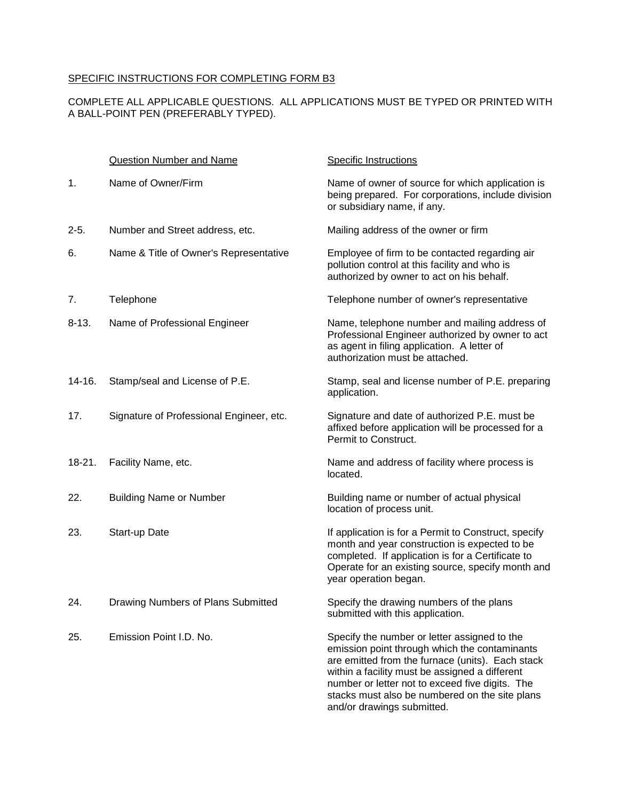## SPECIFIC INSTRUCTIONS FOR COMPLETING FORM B3

## COMPLETE ALL APPLICABLE QUESTIONS. ALL APPLICATIONS MUST BE TYPED OR PRINTED WITH A BALL-POINT PEN (PREFERABLY TYPED).

|           | Question Number and Name                 | <b>Specific Instructions</b>                                                                                                                                                                                                                                                                                                           |
|-----------|------------------------------------------|----------------------------------------------------------------------------------------------------------------------------------------------------------------------------------------------------------------------------------------------------------------------------------------------------------------------------------------|
| 1.        | Name of Owner/Firm                       | Name of owner of source for which application is<br>being prepared. For corporations, include division<br>or subsidiary name, if any.                                                                                                                                                                                                  |
| $2 - 5.$  | Number and Street address, etc.          | Mailing address of the owner or firm                                                                                                                                                                                                                                                                                                   |
| 6.        | Name & Title of Owner's Representative   | Employee of firm to be contacted regarding air<br>pollution control at this facility and who is<br>authorized by owner to act on his behalf.                                                                                                                                                                                           |
| 7.        | Telephone                                | Telephone number of owner's representative                                                                                                                                                                                                                                                                                             |
| $8 - 13.$ | Name of Professional Engineer            | Name, telephone number and mailing address of<br>Professional Engineer authorized by owner to act<br>as agent in filing application. A letter of<br>authorization must be attached.                                                                                                                                                    |
| 14-16.    | Stamp/seal and License of P.E.           | Stamp, seal and license number of P.E. preparing<br>application.                                                                                                                                                                                                                                                                       |
| 17.       | Signature of Professional Engineer, etc. | Signature and date of authorized P.E. must be<br>affixed before application will be processed for a<br>Permit to Construct.                                                                                                                                                                                                            |
| $18-21.$  | Facility Name, etc.                      | Name and address of facility where process is<br>located.                                                                                                                                                                                                                                                                              |
| 22.       | <b>Building Name or Number</b>           | Building name or number of actual physical<br>location of process unit.                                                                                                                                                                                                                                                                |
| 23.       | Start-up Date                            | If application is for a Permit to Construct, specify<br>month and year construction is expected to be<br>completed. If application is for a Certificate to<br>Operate for an existing source, specify month and<br>year operation began.                                                                                               |
| 24.       | Drawing Numbers of Plans Submitted       | Specify the drawing numbers of the plans<br>submitted with this application.                                                                                                                                                                                                                                                           |
| 25.       | Emission Point I.D. No.                  | Specify the number or letter assigned to the<br>emission point through which the contaminants<br>are emitted from the furnace (units). Each stack<br>within a facility must be assigned a different<br>number or letter not to exceed five digits. The<br>stacks must also be numbered on the site plans<br>and/or drawings submitted. |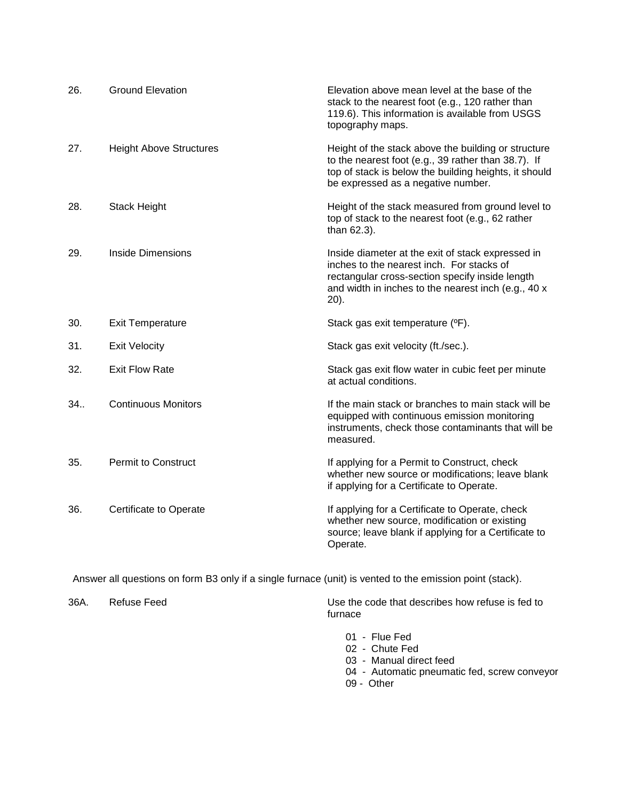| 26. | <b>Ground Elevation</b>        | Elevation above mean level at the base of the<br>stack to the nearest foot (e.g., 120 rather than<br>119.6). This information is available from USGS<br>topography maps.                                            |
|-----|--------------------------------|---------------------------------------------------------------------------------------------------------------------------------------------------------------------------------------------------------------------|
| 27. | <b>Height Above Structures</b> | Height of the stack above the building or structure<br>to the nearest foot (e.g., 39 rather than 38.7). If<br>top of stack is below the building heights, it should<br>be expressed as a negative number.           |
| 28. | Stack Height                   | Height of the stack measured from ground level to<br>top of stack to the nearest foot (e.g., 62 rather<br>than 62.3).                                                                                               |
| 29. | Inside Dimensions              | Inside diameter at the exit of stack expressed in<br>inches to the nearest inch. For stacks of<br>rectangular cross-section specify inside length<br>and width in inches to the nearest inch (e.g., 40 x<br>$20$ ). |
| 30. | <b>Exit Temperature</b>        | Stack gas exit temperature (°F).                                                                                                                                                                                    |
| 31. | <b>Exit Velocity</b>           | Stack gas exit velocity (ft./sec.).                                                                                                                                                                                 |
| 32. | <b>Exit Flow Rate</b>          | Stack gas exit flow water in cubic feet per minute<br>at actual conditions.                                                                                                                                         |
| 34. | <b>Continuous Monitors</b>     | If the main stack or branches to main stack will be<br>equipped with continuous emission monitoring<br>instruments, check those contaminants that will be<br>measured.                                              |
| 35. | <b>Permit to Construct</b>     | If applying for a Permit to Construct, check<br>whether new source or modifications; leave blank<br>if applying for a Certificate to Operate.                                                                       |
| 36. | Certificate to Operate         | If applying for a Certificate to Operate, check<br>whether new source, modification or existing<br>source; leave blank if applying for a Certificate to<br>Operate.                                                 |

Answer all questions on form B3 only if a single furnace (unit) is vented to the emission point (stack).

36A. Refuse Feed Use the code that describes how refuse is fed to furnace

- 01 Flue Fed
- 02 Chute Fed
- 03 Manual direct feed
- 04 Automatic pneumatic fed, screw conveyor
- 09 Other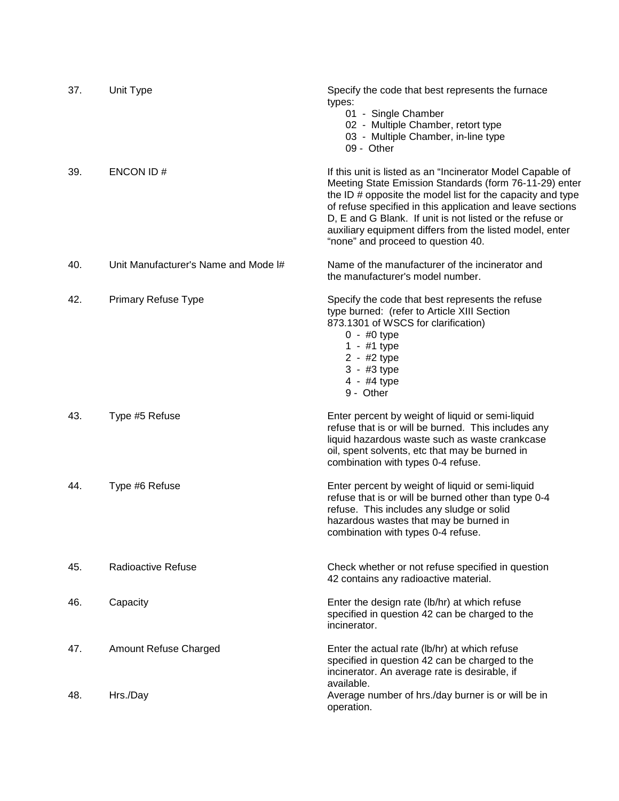| 37. | Unit Type                            | Specify the code that best represents the furnace<br>types:<br>01 - Single Chamber<br>02 - Multiple Chamber, retort type<br>03 - Multiple Chamber, in-line type<br>09 - Other                                                                                                                                                                                                                                  |
|-----|--------------------------------------|----------------------------------------------------------------------------------------------------------------------------------------------------------------------------------------------------------------------------------------------------------------------------------------------------------------------------------------------------------------------------------------------------------------|
| 39. | ENCON ID#                            | If this unit is listed as an "Incinerator Model Capable of<br>Meeting State Emission Standards (form 76-11-29) enter<br>the ID # opposite the model list for the capacity and type<br>of refuse specified in this application and leave sections<br>D, E and G Blank. If unit is not listed or the refuse or<br>auxiliary equipment differs from the listed model, enter<br>"none" and proceed to question 40. |
| 40. | Unit Manufacturer's Name and Mode I# | Name of the manufacturer of the incinerator and<br>the manufacturer's model number.                                                                                                                                                                                                                                                                                                                            |
| 42. | Primary Refuse Type                  | Specify the code that best represents the refuse<br>type burned: (refer to Article XIII Section<br>873.1301 of WSCS for clarification)<br>$0 - #0$ type<br>1 - #1 type<br>2 - #2 type<br>3 - #3 type<br>4 - #4 type<br>9 - Other                                                                                                                                                                               |
| 43. | Type #5 Refuse                       | Enter percent by weight of liquid or semi-liquid<br>refuse that is or will be burned. This includes any<br>liquid hazardous waste such as waste crankcase<br>oil, spent solvents, etc that may be burned in<br>combination with types 0-4 refuse.                                                                                                                                                              |
| 44. | Type #6 Refuse                       | Enter percent by weight of liquid or semi-liquid<br>refuse that is or will be burned other than type 0-4<br>refuse. This includes any sludge or solid<br>hazardous wastes that may be burned in<br>combination with types 0-4 refuse.                                                                                                                                                                          |
| 45. | Radioactive Refuse                   | Check whether or not refuse specified in question<br>42 contains any radioactive material.                                                                                                                                                                                                                                                                                                                     |
| 46. | Capacity                             | Enter the design rate (lb/hr) at which refuse<br>specified in question 42 can be charged to the<br>incinerator.                                                                                                                                                                                                                                                                                                |
| 47. | Amount Refuse Charged                | Enter the actual rate (lb/hr) at which refuse<br>specified in question 42 can be charged to the<br>incinerator. An average rate is desirable, if<br>available.                                                                                                                                                                                                                                                 |
| 48. | Hrs./Day                             | Average number of hrs./day burner is or will be in<br>operation.                                                                                                                                                                                                                                                                                                                                               |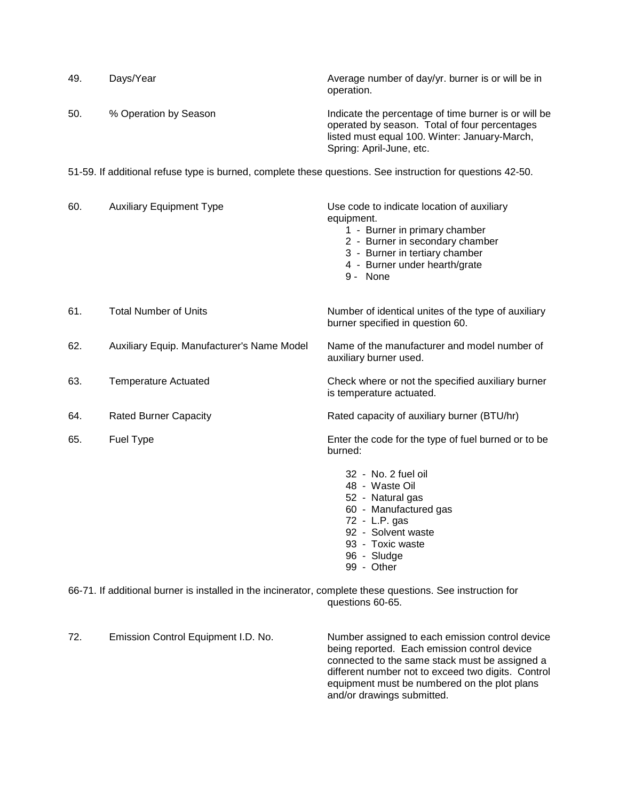| 49. | Days/Year                                                                                                  | Average number of day/yr. burner is or will be in<br>operation.                                                                                                                                             |
|-----|------------------------------------------------------------------------------------------------------------|-------------------------------------------------------------------------------------------------------------------------------------------------------------------------------------------------------------|
| 50. | % Operation by Season                                                                                      | Indicate the percentage of time burner is or will be<br>operated by season. Total of four percentages<br>listed must equal 100. Winter: January-March,<br>Spring: April-June, etc.                          |
|     | 51-59. If additional refuse type is burned, complete these questions. See instruction for questions 42-50. |                                                                                                                                                                                                             |
| 60. | <b>Auxiliary Equipment Type</b>                                                                            | Use code to indicate location of auxiliary<br>equipment.<br>1 - Burner in primary chamber<br>2 - Burner in secondary chamber<br>3 - Burner in tertiary chamber<br>4 - Burner under hearth/grate<br>9 - None |
| 61. | <b>Total Number of Units</b>                                                                               | Number of identical unites of the type of auxiliary<br>burner specified in question 60.                                                                                                                     |
| 62. | Auxiliary Equip. Manufacturer's Name Model                                                                 | Name of the manufacturer and model number of<br>auxiliary burner used.                                                                                                                                      |
| 63. | <b>Temperature Actuated</b>                                                                                | Check where or not the specified auxiliary burner<br>is temperature actuated.                                                                                                                               |
| 64. | <b>Rated Burner Capacity</b>                                                                               | Rated capacity of auxiliary burner (BTU/hr)                                                                                                                                                                 |
| 65. | Fuel Type                                                                                                  | Enter the code for the type of fuel burned or to be<br>burned:                                                                                                                                              |
|     |                                                                                                            | 32 - No. 2 fuel oil<br>48 - Waste Oil<br>52 - Natural gas<br>60 - Manufactured gas<br>72 - L.P. gas<br>92 - Solvent waste<br>93 - Toxic waste<br>96 - Sludge<br>99 - Other                                  |

66-71. If additional burner is installed in the incinerator, complete these questions. See instruction for questions 60-65.

72. Emission Control Equipment I.D. No. Number assigned to each emission control device being reported. Each emission control device connected to the same stack must be assigned a different number not to exceed two digits. Control equipment must be numbered on the plot plans and/or drawings submitted.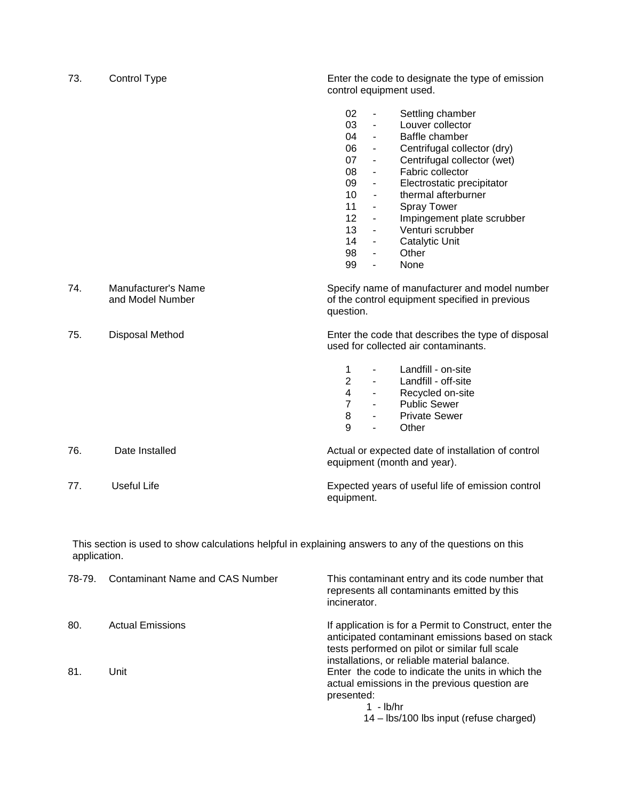| 73. | Control Type                            | Enter the code to designate the type of emission<br>control equipment used.                                                                                                                                                                                                                                                                                                                                                                                                                                                                                                                                                                                                                      |
|-----|-----------------------------------------|--------------------------------------------------------------------------------------------------------------------------------------------------------------------------------------------------------------------------------------------------------------------------------------------------------------------------------------------------------------------------------------------------------------------------------------------------------------------------------------------------------------------------------------------------------------------------------------------------------------------------------------------------------------------------------------------------|
|     |                                         | 02<br>Settling chamber<br>$\blacksquare$<br>03<br>Louver collector<br>$\overline{a}$<br>04<br>Baffle chamber<br>$\overline{\phantom{a}}$<br>06<br>Centrifugal collector (dry)<br>$\blacksquare$<br>07<br>Centrifugal collector (wet)<br>$\overline{\phantom{a}}$<br>Fabric collector<br>08<br>$\overline{\phantom{a}}$<br>09<br>Electrostatic precipitator<br>$\blacksquare$<br>10<br>thermal afterburner<br>$\blacksquare$<br>11<br><b>Spray Tower</b><br>$\blacksquare$<br>12<br>Impingement plate scrubber<br>$\blacksquare$<br>13<br>Venturi scrubber<br>$\blacksquare$<br>14<br>Catalytic Unit<br>$\blacksquare$<br>98<br>Other<br>$\blacksquare$<br>99<br>None<br>$\overline{\phantom{a}}$ |
| 74. | Manufacturer's Name<br>and Model Number | Specify name of manufacturer and model number<br>of the control equipment specified in previous<br>question.                                                                                                                                                                                                                                                                                                                                                                                                                                                                                                                                                                                     |
| 75. | Disposal Method                         | Enter the code that describes the type of disposal<br>used for collected air contaminants.                                                                                                                                                                                                                                                                                                                                                                                                                                                                                                                                                                                                       |
|     |                                         | Landfill - on-site<br>1<br>$\overline{\phantom{a}}$<br>$\overline{2}$<br>Landfill - off-site<br>$\blacksquare$<br>$\overline{\mathbf{4}}$<br>Recycled on-site<br>$\blacksquare$<br>$\overline{7}$<br><b>Public Sewer</b><br>$\sim$<br>8<br><b>Private Sewer</b><br>$\overline{\phantom{0}}$<br>$\mathbf{Q}$<br>Other<br>$\blacksquare$                                                                                                                                                                                                                                                                                                                                                           |
| 76. | Date Installed                          | Actual or expected date of installation of control<br>equipment (month and year).                                                                                                                                                                                                                                                                                                                                                                                                                                                                                                                                                                                                                |
| 77. | <b>Useful Life</b>                      | Expected years of useful life of emission control<br>equipment.                                                                                                                                                                                                                                                                                                                                                                                                                                                                                                                                                                                                                                  |

This section is used to show calculations helpful in explaining answers to any of the questions on this application.

| 78-79. | Contaminant Name and CAS Number | This contaminant entry and its code number that<br>represents all contaminants emitted by this<br>incinerator.                                                                                               |
|--------|---------------------------------|--------------------------------------------------------------------------------------------------------------------------------------------------------------------------------------------------------------|
| 80.    | <b>Actual Emissions</b>         | If application is for a Permit to Construct, enter the<br>anticipated contaminant emissions based on stack<br>tests performed on pilot or similar full scale<br>installations, or reliable material balance. |
| 81.    | Unit                            | Enter the code to indicate the units in which the<br>actual emissions in the previous question are<br>presented:<br>- Ib/hr<br>14 – Ibs/100 lbs input (refuse charged)                                       |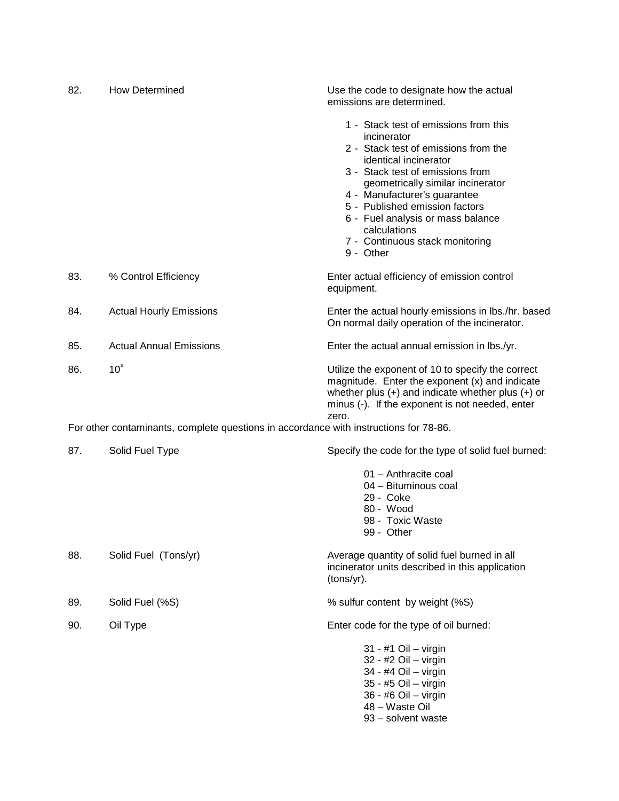| 82. | <b>How Determined</b>                                                                 | Use the code to designate how the actual<br>emissions are determined.                                                                                                                                                                                                                                                                                                 |
|-----|---------------------------------------------------------------------------------------|-----------------------------------------------------------------------------------------------------------------------------------------------------------------------------------------------------------------------------------------------------------------------------------------------------------------------------------------------------------------------|
|     |                                                                                       | 1 - Stack test of emissions from this<br>incinerator<br>2 - Stack test of emissions from the<br>identical incinerator<br>3 - Stack test of emissions from<br>geometrically similar incinerator<br>4 - Manufacturer's guarantee<br>5 - Published emission factors<br>6 - Fuel analysis or mass balance<br>calculations<br>7 - Continuous stack monitoring<br>9 - Other |
| 83. | % Control Efficiency                                                                  | Enter actual efficiency of emission control<br>equipment.                                                                                                                                                                                                                                                                                                             |
| 84. | <b>Actual Hourly Emissions</b>                                                        | Enter the actual hourly emissions in lbs./hr. based<br>On normal daily operation of the incinerator.                                                                                                                                                                                                                                                                  |
| 85. | <b>Actual Annual Emissions</b>                                                        | Enter the actual annual emission in lbs./yr.                                                                                                                                                                                                                                                                                                                          |
| 86. | 10 <sup>x</sup>                                                                       | Utilize the exponent of 10 to specify the correct<br>magnitude. Enter the exponent (x) and indicate<br>whether plus $(+)$ and indicate whether plus $(+)$ or<br>minus (-). If the exponent is not needed, enter<br>zero.                                                                                                                                              |
|     | For other contaminants, complete questions in accordance with instructions for 78-86. |                                                                                                                                                                                                                                                                                                                                                                       |
| 87. | Solid Fuel Type                                                                       | Specify the code for the type of solid fuel burned:                                                                                                                                                                                                                                                                                                                   |
|     |                                                                                       | 01 - Anthracite coal<br>04 - Bituminous coal<br>29 - Coke<br>80 - Wood<br>98 - Toxic Waste<br>99 - Other                                                                                                                                                                                                                                                              |
| 88. | Solid Fuel (Tons/yr)                                                                  | Average quantity of solid fuel burned in all<br>incinerator units described in this application<br>(tons/yr).                                                                                                                                                                                                                                                         |
| 89. | Solid Fuel (%S)                                                                       | % sulfur content by weight (%S)                                                                                                                                                                                                                                                                                                                                       |
| 90. | Oil Type                                                                              | Enter code for the type of oil burned:                                                                                                                                                                                                                                                                                                                                |
|     |                                                                                       | 31 - #1 Oil - virgin<br>32 - #2 Oil - virgin<br>34 - #4 Oil - virgin<br>35 - #5 Oil - virgin<br>36 - #6 Oil - virgin<br>48 - Waste Oil<br>93 - solvent waste                                                                                                                                                                                                          |